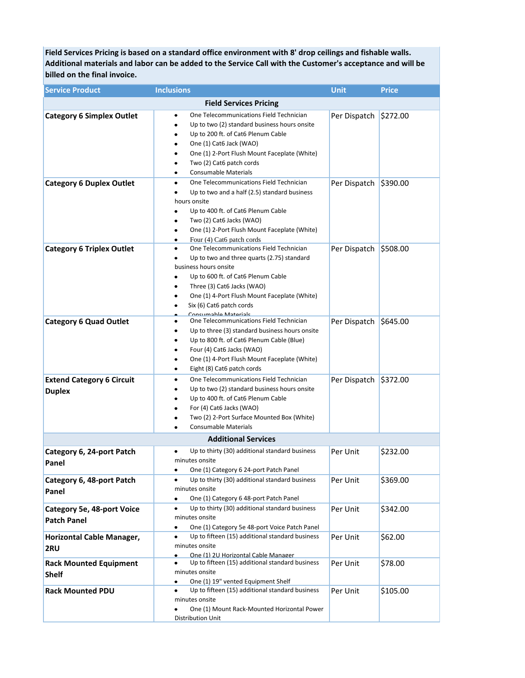**Field Services Pricing is based on a standard office environment with 8' drop ceilings and fishable walls. Additional materials and labor can be added to the Service Call with the Customer's acceptance and will be billed on the final invoice.**

| <b>Service Product</b>                            | <b>Inclusions</b>                                                                                                                                                                                                                                                                                                            | <b>Unit</b>           | <b>Price</b> |  |
|---------------------------------------------------|------------------------------------------------------------------------------------------------------------------------------------------------------------------------------------------------------------------------------------------------------------------------------------------------------------------------------|-----------------------|--------------|--|
| <b>Field Services Pricing</b>                     |                                                                                                                                                                                                                                                                                                                              |                       |              |  |
| <b>Category 6 Simplex Outlet</b>                  | One Telecommunications Field Technician<br>٠<br>Up to two (2) standard business hours onsite<br>٠<br>Up to 200 ft. of Cat6 Plenum Cable<br>٠<br>One (1) Cat6 Jack (WAO)<br>٠<br>One (1) 2-Port Flush Mount Faceplate (White)<br>٠<br>Two (2) Cat6 patch cords<br><b>Consumable Materials</b><br>٠                            | Per Dispatch          | \$272.00     |  |
| <b>Category 6 Duplex Outlet</b>                   | One Telecommunications Field Technician<br>٠<br>Up to two and a half (2.5) standard business<br>hours onsite<br>Up to 400 ft. of Cat6 Plenum Cable<br>Two (2) Cat6 Jacks (WAO)<br>٠<br>One (1) 2-Port Flush Mount Faceplate (White)<br>٠<br>Four (4) Cat6 patch cords<br>$\bullet$                                           | Per Dispatch          | \$390.00     |  |
| <b>Category 6 Triplex Outlet</b>                  | One Telecommunications Field Technician<br>٠<br>Up to two and three quarts (2.75) standard<br>٠<br>business hours onsite<br>Up to 600 ft. of Cat6 Plenum Cable<br>$\bullet$<br>Three (3) Cat6 Jacks (WAO)<br>٠<br>One (1) 4-Port Flush Mount Faceplate (White)<br>٠<br>Six (6) Cat6 patch cords<br>٠<br>Concumable Materiale | Per Dispatch \$508.00 |              |  |
| <b>Category 6 Quad Outlet</b>                     | One Telecommunications Field Technician<br>٠<br>Up to three (3) standard business hours onsite<br>٠<br>Up to 800 ft. of Cat6 Plenum Cable (Blue)<br>٠<br>Four (4) Cat6 Jacks (WAO)<br>٠<br>One (1) 4-Port Flush Mount Faceplate (White)<br>٠<br>Eight (8) Cat6 patch cords<br>٠                                              | Per Dispatch \$645.00 |              |  |
| <b>Extend Category 6 Circuit</b><br><b>Duplex</b> | One Telecommunications Field Technician<br>٠<br>Up to two (2) standard business hours onsite<br>Up to 400 ft. of Cat6 Plenum Cable<br>For (4) Cat6 Jacks (WAO)<br>٠<br>Two (2) 2-Port Surface Mounted Box (White)<br>٠<br><b>Consumable Materials</b>                                                                        | Per Dispatch \$372.00 |              |  |
| <b>Additional Services</b>                        |                                                                                                                                                                                                                                                                                                                              |                       |              |  |
| Category 6, 24-port Patch<br>Panel                | Up to thirty (30) additional standard business<br>minutes onsite<br>One (1) Category 6 24-port Patch Panel                                                                                                                                                                                                                   | Per Unit              | \$232.00     |  |
| Category 6, 48-port Patch<br>Panel                | Up to thirty (30) additional standard business<br>minutes onsite<br>One (1) Category 6 48-port Patch Panel<br>٠                                                                                                                                                                                                              | Per Unit              | \$369.00     |  |
| Category 5e, 48-port Voice<br><b>Patch Panel</b>  | Up to thirty (30) additional standard business<br>٠<br>minutes onsite<br>One (1) Category 5e 48-port Voice Patch Panel<br>$\bullet$                                                                                                                                                                                          | Per Unit              | \$342.00     |  |
| Horizontal Cable Manager,<br>2RU                  | Up to fifteen (15) additional standard business<br>٠<br>minutes onsite<br>One (1) 2LI Horizontal Cable Manager                                                                                                                                                                                                               | Per Unit              | \$62.00      |  |
| <b>Rack Mounted Equipment</b><br><b>Shelf</b>     | Up to fifteen (15) additional standard business<br>minutes onsite<br>One (1) 19" vented Equipment Shelf<br>$\bullet$                                                                                                                                                                                                         | Per Unit              | \$78.00      |  |
| <b>Rack Mounted PDU</b>                           | Up to fifteen (15) additional standard business<br>٠<br>minutes onsite<br>One (1) Mount Rack-Mounted Horizontal Power<br>Distribution Unit                                                                                                                                                                                   | Per Unit              | \$105.00     |  |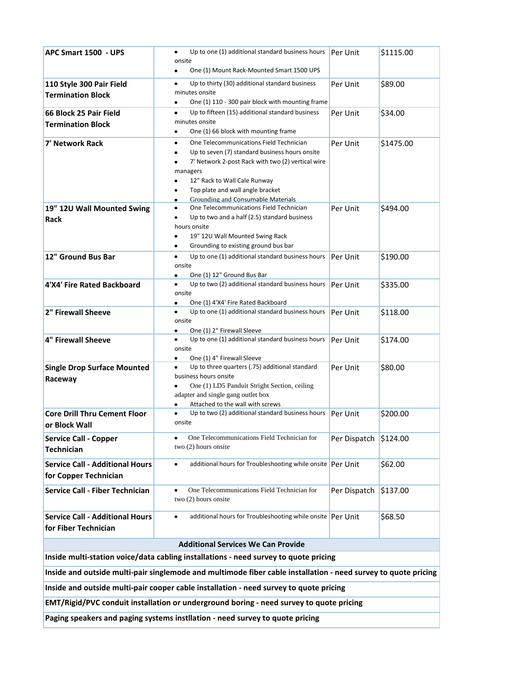| APC Smart 1500 - UPS                                                                                           | Up to one (1) additional standard business hours                                                                      | Per Unit     | \$1115.00 |  |  |
|----------------------------------------------------------------------------------------------------------------|-----------------------------------------------------------------------------------------------------------------------|--------------|-----------|--|--|
|                                                                                                                | onsite                                                                                                                |              |           |  |  |
|                                                                                                                | One (1) Mount Rack-Mounted Smart 1500 UPS<br>٠                                                                        |              |           |  |  |
| 110 Style 300 Pair Field                                                                                       | Up to thirty (30) additional standard business<br>minutes onsite                                                      | Per Unit     | \$89.00   |  |  |
| <b>Termination Block</b>                                                                                       | One (1) 110 - 300 pair block with mounting frame<br>٠                                                                 |              |           |  |  |
| 66 Block 25 Pair Field                                                                                         | Up to fifteen (15) additional standard business<br>٠                                                                  | Per Unit     | \$34.00   |  |  |
| <b>Termination Block</b>                                                                                       | minutes onsite                                                                                                        |              |           |  |  |
|                                                                                                                | One (1) 66 block with mounting frame<br>٠                                                                             |              |           |  |  |
| 7' Network Rack                                                                                                | One Telecommunications Field Technician<br>$\bullet$                                                                  | Per Unit     | \$1475.00 |  |  |
|                                                                                                                | Up to seven (7) standard business hours onsite<br>٠<br>7' Network 2-post Rack with two (2) vertical wire<br>$\bullet$ |              |           |  |  |
|                                                                                                                | managers                                                                                                              |              |           |  |  |
|                                                                                                                | 12" Rack to Wall Cale Runway                                                                                          |              |           |  |  |
|                                                                                                                | Top plate and wall angle bracket<br>٠                                                                                 |              |           |  |  |
|                                                                                                                | Grounding and Consumable Materials<br>$\bullet$                                                                       |              |           |  |  |
| 19" 12U Wall Mounted Swing                                                                                     | One Telecommunications Field Technician<br>٠<br>Up to two and a half (2.5) standard business                          | Per Unit     | \$494.00  |  |  |
| Rack                                                                                                           | hours onsite                                                                                                          |              |           |  |  |
|                                                                                                                | 19" 12U Wall Mounted Swing Rack<br>٠                                                                                  |              |           |  |  |
|                                                                                                                | Grounding to existing ground bus bar<br>٠                                                                             |              |           |  |  |
| 12" Ground Bus Bar                                                                                             | Up to one (1) additional standard business hours<br>$\bullet$                                                         | Per Unit     | \$190.00  |  |  |
|                                                                                                                | onsite<br>One (1) 12" Ground Bus Bar<br>٠                                                                             |              |           |  |  |
| 4'X4' Fire Rated Backboard                                                                                     | Up to two (2) additional standard business hours                                                                      | Per Unit     | \$335.00  |  |  |
|                                                                                                                | onsite                                                                                                                |              |           |  |  |
|                                                                                                                | One (1) 4'X4' Fire Rated Backboard<br>٠                                                                               |              |           |  |  |
| 2" Firewall Sheeve                                                                                             | Up to one (1) additional standard business hours<br>٠<br>onsite                                                       | Per Unit     | \$118.00  |  |  |
|                                                                                                                | One (1) 2" Firewall Sleeve<br>٠                                                                                       |              |           |  |  |
| <b>4" Firewall Sheeve</b>                                                                                      | Up to one (1) additional standard business hours                                                                      | Per Unit     | \$174.00  |  |  |
|                                                                                                                | onsite                                                                                                                |              |           |  |  |
| <b>Single Drop Surface Mounted</b>                                                                             | One (1) 4" Firewall Sleeve<br>$\bullet$<br>Up to three quarters (.75) additional standard<br>٠                        | Per Unit     | \$80.00   |  |  |
| Raceway                                                                                                        | business hours onsite                                                                                                 |              |           |  |  |
|                                                                                                                | One (1) LD5 Panduit Stright Section, ceiling                                                                          |              |           |  |  |
|                                                                                                                | adapter and single gang outlet box                                                                                    |              |           |  |  |
| <b>Core Drill Thru Cement Floor</b>                                                                            | Attached to the wall with screws<br>٠<br>Up to two (2) additional standard business hours                             | Per Unit     | \$200.00  |  |  |
| or Block Wall                                                                                                  | onsite                                                                                                                |              |           |  |  |
|                                                                                                                | One Telecommunications Field Technician for                                                                           |              |           |  |  |
| <b>Service Call - Copper</b><br><b>Technician</b>                                                              | two (2) hours onsite                                                                                                  | Per Dispatch | \$124.00  |  |  |
|                                                                                                                |                                                                                                                       |              |           |  |  |
| <b>Service Call - Additional Hours</b>                                                                         | additional hours for Troubleshooting while onsite Per Unit                                                            |              | \$62.00   |  |  |
| for Copper Technician                                                                                          |                                                                                                                       |              |           |  |  |
| <b>Service Call - Fiber Technician</b>                                                                         | One Telecommunications Field Technician for                                                                           | Per Dispatch | \$137.00  |  |  |
|                                                                                                                | two (2) hours onsite                                                                                                  |              |           |  |  |
| <b>Service Call - Additional Hours</b>                                                                         | additional hours for Troubleshooting while onsite Per Unit<br>٠                                                       |              | \$68.50   |  |  |
| for Fiber Technician                                                                                           |                                                                                                                       |              |           |  |  |
|                                                                                                                |                                                                                                                       |              |           |  |  |
| <b>Additional Services We Can Provide</b>                                                                      |                                                                                                                       |              |           |  |  |
| Inside multi-station voice/data cabling installations - need survey to quote pricing                           |                                                                                                                       |              |           |  |  |
| Inside and outside multi-pair singlemode and multimode fiber cable installation - need survey to quote pricing |                                                                                                                       |              |           |  |  |
| Inside and outside multi-pair cooper cable installation - need survey to quote pricing                         |                                                                                                                       |              |           |  |  |
| EMT/Rigid/PVC conduit installation or underground boring - need survey to quote pricing                        |                                                                                                                       |              |           |  |  |

**Paging speakers and paging systems instllation - need survey to quote pricing**